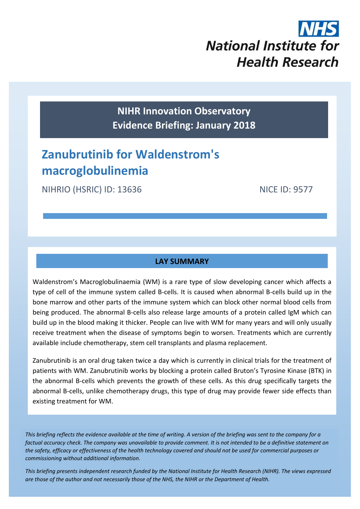

**NIHR Innovation Observatory Evidence Briefing: January 2018**

# **Zanubrutinib for Waldenstrom's macroglobulinemia**

NIHRIO (HSRIC) ID: 13636 NICE ID: 9577

# **LAY SUMMARY**

Waldenstrom's Macroglobulinaemia (WM) is a rare type of slow developing cancer which affects a type of cell of the immune system called B-cells. It is caused when abnormal B-cells build up in the bone marrow and other parts of the immune system which can block other normal blood cells from being produced. The abnormal B-cells also release large amounts of a protein called IgM which can build up in the blood making it thicker. People can live with WM for many years and will only usually receive treatment when the disease of symptoms begin to worsen. Treatments which are currently available include chemotherapy, stem cell transplants and plasma replacement.

Zanubrutinib is an oral drug taken twice a day which is currently in clinical trials for the treatment of patients with WM. Zanubrutinib works by blocking a protein called Bruton's Tyrosine Kinase (BTK) in the abnormal B-cells which prevents the growth of these cells. As this drug specifically targets the abnormal B-cells, unlike chemotherapy drugs, this type of drug may provide fewer side effects than existing treatment for WM.

*This briefing reflects the evidence available at the time of writing. A version of the briefing was sent to the company for a factual accuracy check. The company was unavailable to provide comment. It is not intended to be a definitive statement on the safety, efficacy or effectiveness of the health technology covered and should not be used for commercial purposes or commissioning without additional information.*

1 *This briefing presents independent research funded by the National Institute for Health Research (NIHR). The views expressed are those of the author and not necessarily those of the NHS, the NIHR or the Department of Health.*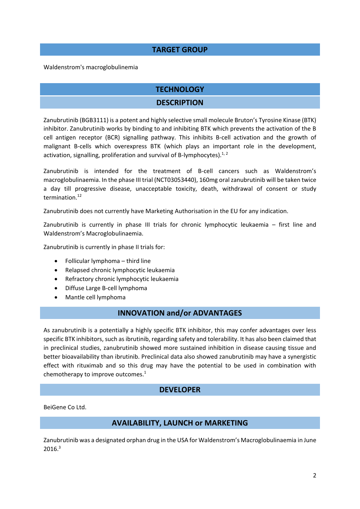## **TARGET GROUP**

Waldenstrom's macroglobulinemia

## **TECHNOLOGY**

#### <span id="page-1-0"></span>**DESCRIPTION**

Zanubrutinib (BGB3111) is a potent and highly selective small molecule Bruton's Tyrosine Kinase (BTK) inhibitor. Zanubrutinib works by binding to and inhibiting BTK which prevents the activation of the B cell antigen receptor (BCR) signalling pathway. This inhibits B-cell activation and the growth of malignant B-cells which overexpress BTK (which plays an important role in the development, activation, signalling, proliferation and survival of B-lymphocytes).<sup>1, 2</sup>

Zanubrutinib is intended for the treatment of B-cell cancers such as Waldenstrom's macroglobulinaemia. In the phase III trial (NCT03053440), 160mg oral zanubrutinib will be taken twice a day till progressive disease, unacceptable toxicity, death, withdrawal of consent or study termination.<sup>[12](#page-4-0)</sup>

Zanubrutinib does not currently have Marketing Authorisation in the EU for any indication.

Zanubrutinib is currently in phase III trials for chronic lymphocytic leukaemia – first line and Waldenstrom's Macroglobulinaemia.

Zanubrutinib is currently in phase II trials for:

- Follicular lymphoma third line
- Relapsed chronic lymphocytic leukaemia
- Refractory chronic lymphocytic leukaemia
- Diffuse Large B-cell lymphoma
- Mantle cell lymphoma

#### **INNOVATION and/or ADVANTAGES**

As zanubrutinib is a potentially a highly specific BTK inhibitor, this may confer advantages over less specific BTK inhibitors, such as ibrutinib, regarding safety and tolerability. It has also been claimed that in preclinical studies, zanubrutinib showed more sustained inhibition in disease causing tissue and better bioavailability than ibrutinib. Preclinical data also showed zanubrutinib may have a synergistic effect with rituximab and so this drug may have the potential to be used in combination with chemotherapy to improve outcomes[.](#page-1-0)<sup>1</sup>

#### **DEVELOPER**

BeiGene Co Ltd.

#### **AVAILABILITY, LAUNCH or MARKETING**

Zanubrutinib was a designated orphan drug in the USA for Waldenstrom's Macroglobulinaemia in June  $2016.<sup>3</sup>$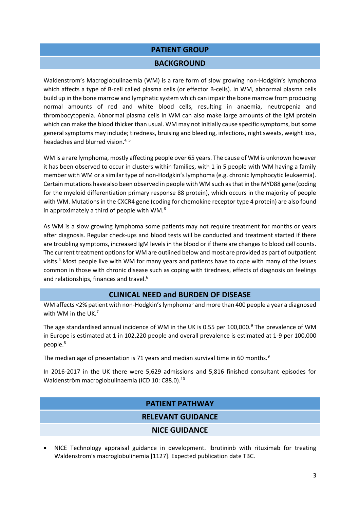# **PATIENT GROUP**

#### <span id="page-2-2"></span>**BACKGROUND**

Waldenstrom's Macroglobulinaemia (WM) is a rare form of slow growing non-Hodgkin's lymphoma which affects a type of B-cell called plasma cells (or effector B-cells). In WM, abnormal plasma cells build up in the bone marrow and lymphatic system which can impair the bone marrow from producing normal amounts of red and white blood cells, resulting in anaemia, neutropenia and thrombocytopenia. Abnormal plasma cells in WM can also make large amounts of the IgM protein which can make the blood thicker than usual. WM may not initially cause specific symptoms, but some general symptoms may include; tiredness, bruising and bleeding, infections, night sweats, weight loss, headaches and blurred vision.<sup>4, 5</sup>

<span id="page-2-0"></span>WM is a rare lymphoma, mostly affecting people over 65 years. The cause of WM is unknown however it has been observed to occur in clusters within families, with 1 in 5 people with WM having a family member with WM or a similar type of non-Hodgkin's lymphoma (e.g. chronic lymphocytic leukaemia). Certain mutations have also been observed in people with WM such as that in the MYD88 gene (coding for the myeloid differentiation primary response 88 protein), which occurs in the majority of people with WM. Mutations in the CXCR4 gene (coding for chemokine receptor type 4 protein) are also found in approximately a third of people with WM. $^6$ 

As WM is a slow growing lymphoma some patients may not require treatment for months or years after diagnosis. Regular check-ups and blood tests will be conducted and treatment started if there are troubling symptoms, increased IgM levels in the blood or if there are changes to blood cell counts. The current treatment options for WM are outlined below and most are provided as part of outpatient visits.[4](#page-2-0) Most people live with WM for many years and patients have to cope with many of the issues common in those with chronic disease such as coping with tiredness, effects of diagnosis on feelings and relationships, finances and travel[.](#page-2-1)<sup>6</sup>

#### <span id="page-2-1"></span>**CLINICAL NEED and BURDEN OF DISEASE**

WM affects <2% patient with non-Hodgkin's lymphoma<sup>[5](#page-2-2)</sup> and more than 400 people a year a diagnosed with WM in the UK. $<sup>7</sup>$ </sup>

The age standardised annual incidence of WM in the UK is 0.55 per 100,000.<sup>[9](#page-2-3)</sup> The prevalence of WM in Europe is estimated at 1 in 102,220 people and overall prevalence is estimated at 1-9 per 100,000 people.<sup>8</sup>

The median age of presentation is 71 years and median survival time in 60 months.<sup>9</sup>

In 2016-2017 in the UK there were 5,629 admissions and 5,816 finished consultant episodes for Waldenström macroglobulinaemia (ICD 10: C88.0).<sup>10</sup>

#### <span id="page-2-3"></span>**PATIENT PATHWAY**

#### **RELEVANT GUIDANCE**

#### **NICE GUIDANCE**

 NICE Technology appraisal guidance in development. Ibrutininb with rituximab for treating Waldenstrom's macroglobulinemia [1127]. Expected publication date TBC.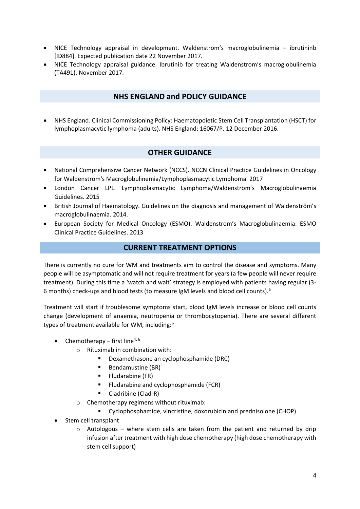- NICE Technology appraisal in development. Waldenstrom's macroglobulinemia ibrutininb [ID884]. Expected publication date 22 November 2017.
- NICE Technology appraisal guidance. Ibrutinib for treating Waldenstrom's macroglobulinemia (TA491). November 2017.

#### **NHS ENGLAND and POLICY GUIDANCE**

 NHS England. Clinical Commissioning Policy: Haematopoietic Stem Cell Transplantation (HSCT) for lymphoplasmacytic lymphoma (adults). NHS England: 16067/P. 12 December 2016.

## **OTHER GUIDANCE**

- National Comprehensive Cancer Network (NCCS). NCCN Clinical Practice Guidelines in Oncology for Waldenström's Macroglobulinemia/Lymphoplasmacytic Lymphoma. 2017
- London Cancer LPL. Lymphoplasmacytic Lymphoma/Waldenström's Macroglobulinaemia Guidelines. 2015
- British Journal of Haematology. Guidelines on the diagnosis and management of Waldenström's macroglobulinaemia. 2014.
- European Society for Medical Oncology (ESMO). Waldenstrom's Macroglobulinaemia: ESMO Clinical Practice Guidelines. 2013

#### **CURRENT TREATMENT OPTIONS**

There is currently no cure for WM and treatments aim to control the disease and symptoms. Many people will be asymptomatic and will not require treatment for years (a few people will never require treatment). During this time a 'watch and wait' strategy is employed with patients having regular (3- 6 months) check-ups and blood tests (to measure IgM levels and blood cell counts).[6](#page-2-1)

Treatment will start if troublesome symptoms start, blood IgM levels increase or blood cell counts change (development of anaemia, neutropenia or thrombocytopenia). There are several different types of treatment available for WM, including:[6](#page-2-1)

- Chemotherapy first line<sup>[4,](#page-2-0) [6](#page-2-1)</sup>
	- o Rituximab in combination with:
		- Dexamethasone an cyclophosphamide (DRC)
		- **Bendamustine (BR)**
		- $\blacksquare$  Fludarabine (FR)
		- **Filudarabine and cyclophosphamide (FCR)**
		- Cladribine (Clad-R)
		- o Chemotherapy regimens without rituximab:
			- Cyclophosphamide, vincristine, doxorubicin and prednisolone (CHOP)
- Stem cell transplant
	- $\circ$  Autologous where stem cells are taken from the patient and returned by drip infusion after treatment with high dose chemotherapy (high dose chemotherapy with stem cell support)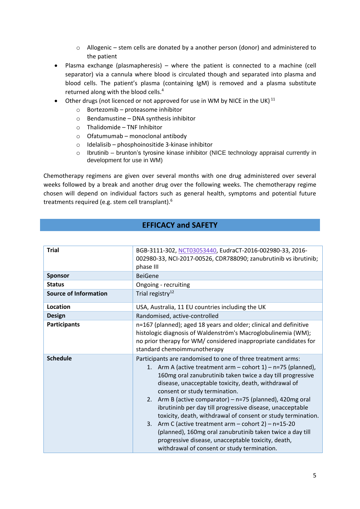- $\circ$  Allogenic stem cells are donated by a another person (donor) and administered to the patient
- Plasma exchange (plasmapheresis) where the patient is connected to a machine (cell separator) via a cannula where blood is circulated though and separated into plasma and blood cells. The patient's plasma (containing IgM) is removed and a plasma substitute returned along with the blood cells.<sup>[4](#page-2-0)</sup>
- Other drugs (not licenced or not approved for use in WM by NICE in the UK)<sup>11</sup>
	- o Bortezomib proteasome inhibitor
	- o Bendamustine DNA synthesis inhibitor
	- o Thalidomide TNF Inhibitor
	- o Ofatumumab monoclonal antibody
	- o Idelalisib phosphoinositide 3-kinase inhibitor
	- o Ibrutinib brunton's tyrosine kinase inhibitor (NICE technology appraisal currently in development for use in WM)

Chemotherapy regimens are given over several months with one drug administered over several weeks followed by a break and another drug over the following weeks. The chemotherapy regime chosen will depend on individual factors such as general health, symptoms and potential future treatments required (e.g. stem cell transplant).[6](#page-2-1)

#### <span id="page-4-0"></span>**EFFICACY and SAFETY**

| <b>Trial</b>                 | BGB-3111-302, NCT03053440, EudraCT-2016-002980-33, 2016-<br>002980-33, NCI-2017-00526, CDR788090; zanubrutinib vs ibrutinib;<br>phase III                                                                                                                                                                                                                                                                                                                                                                                                                                                                                                                                                                     |  |  |
|------------------------------|---------------------------------------------------------------------------------------------------------------------------------------------------------------------------------------------------------------------------------------------------------------------------------------------------------------------------------------------------------------------------------------------------------------------------------------------------------------------------------------------------------------------------------------------------------------------------------------------------------------------------------------------------------------------------------------------------------------|--|--|
| <b>Sponsor</b>               | <b>BeiGene</b>                                                                                                                                                                                                                                                                                                                                                                                                                                                                                                                                                                                                                                                                                                |  |  |
| <b>Status</b>                | Ongoing - recruiting                                                                                                                                                                                                                                                                                                                                                                                                                                                                                                                                                                                                                                                                                          |  |  |
| <b>Source of Information</b> | Trial registry <sup>12</sup>                                                                                                                                                                                                                                                                                                                                                                                                                                                                                                                                                                                                                                                                                  |  |  |
| Location                     | USA, Australia, 11 EU countries including the UK                                                                                                                                                                                                                                                                                                                                                                                                                                                                                                                                                                                                                                                              |  |  |
| <b>Design</b>                | Randomised, active-controlled                                                                                                                                                                                                                                                                                                                                                                                                                                                                                                                                                                                                                                                                                 |  |  |
| <b>Participants</b>          | n=167 (planned); aged 18 years and older; clinical and definitive<br>histologic diagnosis of Waldenström's Macroglobulinemia (WM);<br>no prior therapy for WM/ considered inappropriate candidates for<br>standard chemoimmunotherapy                                                                                                                                                                                                                                                                                                                                                                                                                                                                         |  |  |
| <b>Schedule</b>              | Participants are randomised to one of three treatment arms:<br>1. Arm A (active treatment arm - cohort 1) - n=75 (planned),<br>160mg oral zanubrutinib taken twice a day till progressive<br>disease, unacceptable toxicity, death, withdrawal of<br>consent or study termination.<br>2. Arm B (active comparator) - n=75 (planned), 420mg oral<br>ibrutininb per day till progressive disease, unacceptable<br>toxicity, death, withdrawal of consent or study termination.<br>Arm C (active treatment arm $-$ cohort 2) $-$ n=15-20<br>3.<br>(planned), 160mg oral zanubrutinib taken twice a day till<br>progressive disease, unacceptable toxicity, death,<br>withdrawal of consent or study termination. |  |  |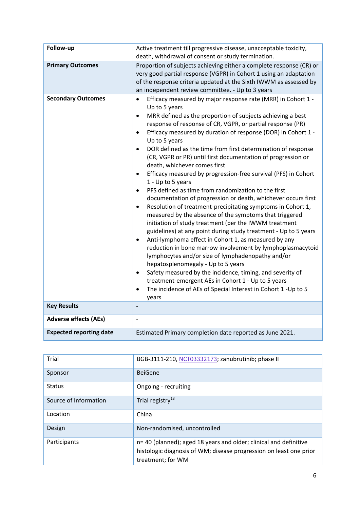| Follow-up                      | Active treatment till progressive disease, unacceptable toxicity,<br>death, withdrawal of consent or study termination.                                                                                                                                                                                                                                                                                                                                                                                                                                                                                                                                                                                                                                                                                                                                                                                                                                                                                                                                                                                                                                                                                                                                                                                                                                                                                                                                                          |  |  |
|--------------------------------|----------------------------------------------------------------------------------------------------------------------------------------------------------------------------------------------------------------------------------------------------------------------------------------------------------------------------------------------------------------------------------------------------------------------------------------------------------------------------------------------------------------------------------------------------------------------------------------------------------------------------------------------------------------------------------------------------------------------------------------------------------------------------------------------------------------------------------------------------------------------------------------------------------------------------------------------------------------------------------------------------------------------------------------------------------------------------------------------------------------------------------------------------------------------------------------------------------------------------------------------------------------------------------------------------------------------------------------------------------------------------------------------------------------------------------------------------------------------------------|--|--|
| <b>Primary Outcomes</b>        | Proportion of subjects achieving either a complete response (CR) or<br>very good partial response (VGPR) in Cohort 1 using an adaptation<br>of the response criteria updated at the Sixth IWWM as assessed by<br>an independent review committee. - Up to 3 years                                                                                                                                                                                                                                                                                                                                                                                                                                                                                                                                                                                                                                                                                                                                                                                                                                                                                                                                                                                                                                                                                                                                                                                                                |  |  |
| <b>Secondary Outcomes</b>      | Efficacy measured by major response rate (MRR) in Cohort 1 -<br>$\bullet$<br>Up to 5 years<br>MRR defined as the proportion of subjects achieving a best<br>$\bullet$<br>response of response of CR, VGPR, or partial response (PR)<br>Efficacy measured by duration of response (DOR) in Cohort 1 -<br>$\bullet$<br>Up to 5 years<br>DOR defined as the time from first determination of response<br>$\bullet$<br>(CR, VGPR or PR) until first documentation of progression or<br>death, whichever comes first<br>Efficacy measured by progression-free survival (PFS) in Cohort<br>$\bullet$<br>1 - Up to 5 years<br>PFS defined as time from randomization to the first<br>$\bullet$<br>documentation of progression or death, whichever occurs first<br>Resolution of treatment-precipitating symptoms in Cohort 1,<br>$\bullet$<br>measured by the absence of the symptoms that triggered<br>initiation of study treatment (per the IWWM treatment<br>guidelines) at any point during study treatment - Up to 5 years<br>Anti-lymphoma effect in Cohort 1, as measured by any<br>$\bullet$<br>reduction in bone marrow involvement by lymphoplasmacytoid<br>lymphocytes and/or size of lymphadenopathy and/or<br>hepatosplenomegaly - Up to 5 years<br>Safety measured by the incidence, timing, and severity of<br>$\bullet$<br>treatment-emergent AEs in Cohort 1 - Up to 5 years<br>The incidence of AEs of Special Interest in Cohort 1 - Up to 5<br>$\bullet$<br>years |  |  |
| <b>Key Results</b>             | $\overline{\phantom{a}}$                                                                                                                                                                                                                                                                                                                                                                                                                                                                                                                                                                                                                                                                                                                                                                                                                                                                                                                                                                                                                                                                                                                                                                                                                                                                                                                                                                                                                                                         |  |  |
| <b>Adverse effects (AEs)</b>   | $\qquad \qquad -$                                                                                                                                                                                                                                                                                                                                                                                                                                                                                                                                                                                                                                                                                                                                                                                                                                                                                                                                                                                                                                                                                                                                                                                                                                                                                                                                                                                                                                                                |  |  |
| <b>Expected reporting date</b> | Estimated Primary completion date reported as June 2021.                                                                                                                                                                                                                                                                                                                                                                                                                                                                                                                                                                                                                                                                                                                                                                                                                                                                                                                                                                                                                                                                                                                                                                                                                                                                                                                                                                                                                         |  |  |

| Trial                 | BGB-3111-210, NCT03332173; zanubrutinib; phase II                                                                                                            |  |  |
|-----------------------|--------------------------------------------------------------------------------------------------------------------------------------------------------------|--|--|
| Sponsor               | <b>BeiGene</b>                                                                                                                                               |  |  |
| <b>Status</b>         | Ongoing - recruiting                                                                                                                                         |  |  |
| Source of Information | Trial registry <sup>13</sup>                                                                                                                                 |  |  |
| Location              | China                                                                                                                                                        |  |  |
| Design                | Non-randomised, uncontrolled                                                                                                                                 |  |  |
| Participants          | n= 40 (planned); aged 18 years and older; clinical and definitive<br>histologic diagnosis of WM; disease progression on least one prior<br>treatment; for WM |  |  |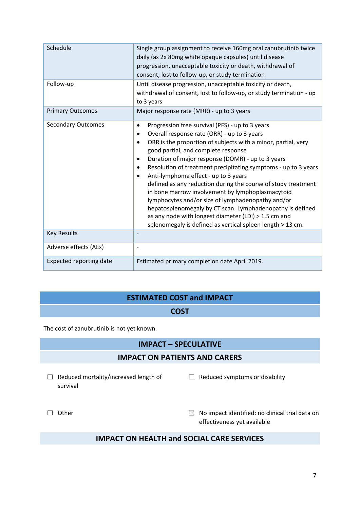| Schedule                       | Single group assignment to receive 160mg oral zanubrutinib twice<br>daily (as 2x 80mg white opaque capsules) until disease<br>progression, unacceptable toxicity or death, withdrawal of<br>consent, lost to follow-up, or study termination                                                                                                                                                                                                                                                                                                                                                                                                                                                                                                                                                        |  |
|--------------------------------|-----------------------------------------------------------------------------------------------------------------------------------------------------------------------------------------------------------------------------------------------------------------------------------------------------------------------------------------------------------------------------------------------------------------------------------------------------------------------------------------------------------------------------------------------------------------------------------------------------------------------------------------------------------------------------------------------------------------------------------------------------------------------------------------------------|--|
| Follow-up                      | Until disease progression, unacceptable toxicity or death,<br>withdrawal of consent, lost to follow-up, or study termination - up<br>to 3 years                                                                                                                                                                                                                                                                                                                                                                                                                                                                                                                                                                                                                                                     |  |
| <b>Primary Outcomes</b>        | Major response rate (MRR) - up to 3 years                                                                                                                                                                                                                                                                                                                                                                                                                                                                                                                                                                                                                                                                                                                                                           |  |
| <b>Secondary Outcomes</b>      | Progression free survival (PFS) - up to 3 years<br>$\bullet$<br>Overall response rate (ORR) - up to 3 years<br>ORR is the proportion of subjects with a minor, partial, very<br>$\bullet$<br>good partial, and complete response<br>Duration of major response (DOMR) - up to 3 years<br>$\bullet$<br>Resolution of treatment precipitating symptoms - up to 3 years<br>$\bullet$<br>Anti-lymphoma effect - up to 3 years<br>$\bullet$<br>defined as any reduction during the course of study treatment<br>in bone marrow involvement by lymphoplasmacytoid<br>lymphocytes and/or size of lymphadenopathy and/or<br>hepatosplenomegaly by CT scan. Lymphadenopathy is defined<br>as any node with longest diameter (LDi) > 1.5 cm and<br>splenomegaly is defined as vertical spleen length > 13 cm. |  |
| <b>Key Results</b>             | $\overline{\phantom{a}}$                                                                                                                                                                                                                                                                                                                                                                                                                                                                                                                                                                                                                                                                                                                                                                            |  |
| Adverse effects (AEs)          | $\qquad \qquad \blacksquare$                                                                                                                                                                                                                                                                                                                                                                                                                                                                                                                                                                                                                                                                                                                                                                        |  |
| <b>Expected reporting date</b> | Estimated primary completion date April 2019.                                                                                                                                                                                                                                                                                                                                                                                                                                                                                                                                                                                                                                                                                                                                                       |  |

# **ESTIMATED COST and IMPACT**

#### **COST**

The cost of zanubrutinib is not yet known.

# **IMPACT – SPECULATIVE**

#### **IMPACT ON PATIENTS AND CARERS**

- ☐ Reduced mortality/increased length of survival
- ☐ Reduced symptoms or disability

- 
- □ Other **□ Other** and Other **No impact identified:** no clinical trial data on effectiveness yet available

# **IMPACT ON HEALTH and SOCIAL CARE SERVICES**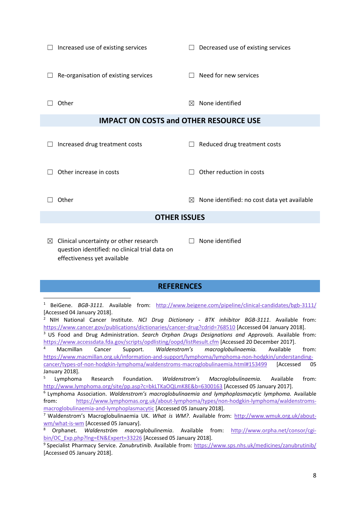|                                               | Increased use of existing services     | П            | Decreased use of existing services          |  |  |  |
|-----------------------------------------------|----------------------------------------|--------------|---------------------------------------------|--|--|--|
|                                               | Re-organisation of existing services   | П            | Need for new services                       |  |  |  |
|                                               | Other                                  | ⊠            | None identified                             |  |  |  |
| <b>IMPACT ON COSTS and OTHER RESOURCE USE</b> |                                        |              |                                             |  |  |  |
|                                               | Increased drug treatment costs         |              | Reduced drug treatment costs                |  |  |  |
|                                               | Other increase in costs                | $\mathsf{L}$ | Other reduction in costs                    |  |  |  |
|                                               | Other                                  | ⊠            | None identified: no cost data yet available |  |  |  |
|                                               | <b>OTHER ISSUES</b>                    |              |                                             |  |  |  |
| ⊠                                             | Clinical uncertainty or other research |              | None identified                             |  |  |  |

question identified: no clinical trial data on effectiveness yet available

**.** 

#### **REFERENCES**

<sup>1</sup> BeiGene. *BGB-3111*. Available from: <http://www.beigene.com/pipeline/clinical-candidates/bgb-3111/> [Accessed 04 January 2018].

<sup>2</sup> NIH National Cancer Institute. *NCI Drug Dictionary - BTK inhibitor BGB-3111*. Available from: <https://www.cancer.gov/publications/dictionaries/cancer-drug?cdrid=768510> [Accessed 04 January 2018].

<sup>3</sup> US Food and Drug Administration. *Search Orphan Drugs Designations and Approvals.* Available from: <https://www.accessdata.fda.gov/scripts/opdlisting/oopd/listResult.cfm> [Accessed 20 December 2017].

<sup>4</sup> Macmillan Cancer Support. *Waldenstrom's macroglobulinaemia.* Available from: [https://www.macmillan.org.uk/information-and-support/lymphoma/lymphoma-non-hodgkin/understanding](https://www.macmillan.org.uk/information-and-support/lymphoma/lymphoma-non-hodgkin/understanding-cancer/types-of-non-hodgkin-lymphoma/waldenstroms-macroglobulinaemia.html#153499)[cancer/types-of-non-hodgkin-lymphoma/waldenstroms-macroglobulinaemia.html#153499](https://www.macmillan.org.uk/information-and-support/lymphoma/lymphoma-non-hodgkin/understanding-cancer/types-of-non-hodgkin-lymphoma/waldenstroms-macroglobulinaemia.html#153499) [Accessed 05 January 2018].

5 Lymphoma Research Foundation. *Waldenstrom's Macroglobulinaemia.* Available from: <http://www.lymphoma.org/site/pp.asp?c=bkLTKaOQLmK8E&b=6300163> [Accessed 05 January 2017].

6 Lymphoma Association. *Waldenstrom's macroglobulinaemia and lymphoplasmacytic lymphoma.* Available from: [https://www.lymphomas.org.uk/about-lymphoma/types/non-hodgkin-lymphoma/waldenstroms](https://www.lymphomas.org.uk/about-lymphoma/types/non-hodgkin-lymphoma/waldenstroms-macroglobulinaemia-and-lymphoplasmacytic)[macroglobulinaemia-and-lymphoplasmacytic](https://www.lymphomas.org.uk/about-lymphoma/types/non-hodgkin-lymphoma/waldenstroms-macroglobulinaemia-and-lymphoplasmacytic) [Accessed 05 January 2018].

<sup>7</sup> Waldenstrom's Macroglobulinaemia UK. *What is WM?*. Available from: [http://www.wmuk.org.uk/about](http://www.wmuk.org.uk/about-wm/what-is-wm)[wm/what-is-wm](http://www.wmuk.org.uk/about-wm/what-is-wm) [Accessed 05 January].

<sup>8</sup> Orphanet. *Waldenström macroglobulinemia*. Available from: [http://www.orpha.net/consor/cgi](http://www.orpha.net/consor/cgi-bin/OC_Exp.php?lng=EN&Expert=33226)[bin/OC\\_Exp.php?lng=EN&Expert=33226](http://www.orpha.net/consor/cgi-bin/OC_Exp.php?lng=EN&Expert=33226) [Accessed 05 January 2018].

<sup>9</sup> Specialist Pharmacy Service. *Zanubrutinib*. Available from:<https://www.sps.nhs.uk/medicines/zanubrutinib/> [Accessed 05 January 2018].